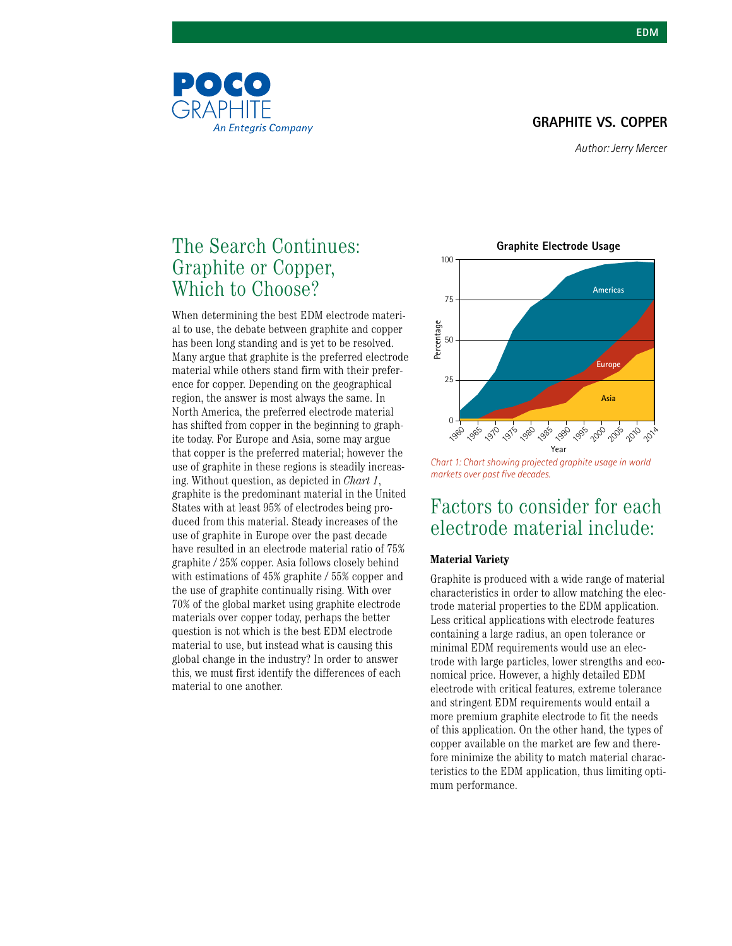#### **GRAPHITE VS. COPPER**

### The Search Continues: Graphite or Copper, Which to Choose?

**An Entegris Company** 

POCO

GRAPHITF

When determining the best EDM electrode material to use, the debate between graphite and copper has been long standing and is yet to be resolved. Many argue that graphite is the preferred electrode material while others stand firm with their preference for copper. Depending on the geographical region, the answer is most always the same. In North America, the preferred electrode material has shifted from copper in the beginning to graphite today. For Europe and Asia, some may argue that copper is the preferred material; however the use of graphite in these regions is steadily increasing. Without question, as depicted in *Chart 1*, graphite is the predominant material in the United States with at least 95% of electrodes being produced from this material. Steady increases of the use of graphite in Europe over the past decade have resulted in an electrode material ratio of 75% graphite / 25% copper. Asia follows closely behind with estimations of 45% graphite / 55% copper and the use of graphite continually rising. With over 70% of the global market using graphite electrode materials over copper today, perhaps the better question is not which is the best EDM electrode material to use, but instead what is causing this global change in the industry? In order to answer this, we must first identify the differences of each material to one another.



*Chart 1: Chart showing projected graphite usage in world markets over past five decades.*

### Factors to consider for each electrode material include:

#### **Material Variety**

Graphite is produced with a wide range of material characteristics in order to allow matching the electrode material properties to the EDM application. Less critical applications with electrode features containing a large radius, an open tolerance or minimal EDM requirements would use an electrode with large particles, lower strengths and economical price. However, a highly detailed EDM electrode with critical features, extreme tolerance and stringent EDM requirements would entail a more premium graphite electrode to fit the needs of this application. On the other hand, the types of copper available on the market are few and therefore minimize the ability to match material characteristics to the EDM application, thus limiting optimum performance.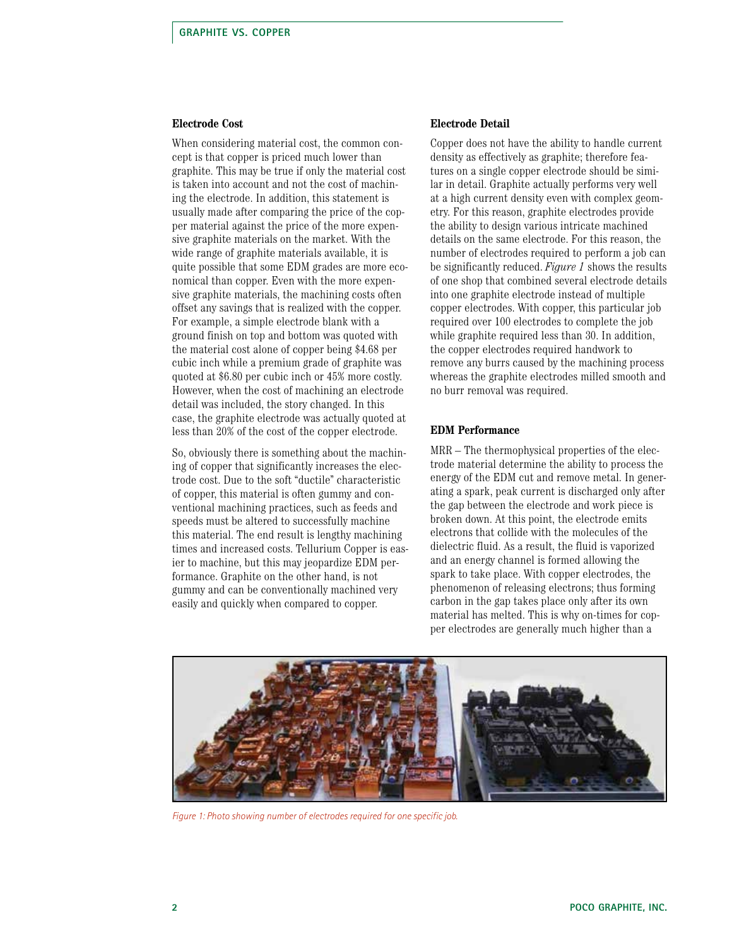#### **Electrode Cost**

When considering material cost, the common concept is that copper is priced much lower than graphite. This may be true if only the material cost is taken into account and not the cost of machining the electrode. In addition, this statement is usually made after comparing the price of the copper material against the price of the more expensive graphite materials on the market. With the wide range of graphite materials available, it is quite possible that some EDM grades are more economical than copper. Even with the more expensive graphite materials, the machining costs often offset any savings that is realized with the copper. For example, a simple electrode blank with a ground finish on top and bottom was quoted with the material cost alone of copper being \$4.68 per cubic inch while a premium grade of graphite was quoted at \$6.80 per cubic inch or 45% more costly. However, when the cost of machining an electrode detail was included, the story changed. In this case, the graphite electrode was actually quoted at less than 20% of the cost of the copper electrode.

So, obviously there is something about the machining of copper that significantly increases the electrode cost. Due to the soft "ductile" characteristic of copper, this material is often gummy and conventional machining practices, such as feeds and speeds must be altered to successfully machine this material. The end result is lengthy machining times and increased costs. Tellurium Copper is easier to machine, but this may jeopardize EDM performance. Graphite on the other hand, is not gummy and can be conventionally machined very easily and quickly when compared to copper.

#### **Electrode Detail**

Copper does not have the ability to handle current density as effectively as graphite; therefore features on a single copper electrode should be similar in detail. Graphite actually performs very well at a high current density even with complex geometry. For this reason, graphite electrodes provide the ability to design various intricate machined details on the same electrode. For this reason, the number of electrodes required to perform a job can be significantly reduced. *Figure 1* shows the results of one shop that combined several electrode details into one graphite electrode instead of multiple copper electrodes. With copper, this particular job required over 100 electrodes to complete the job while graphite required less than 30. In addition, the copper electrodes required handwork to remove any burrs caused by the machining process whereas the graphite electrodes milled smooth and no burr removal was required.

#### **EDM Performance**

MRR – The thermophysical properties of the electrode material determine the ability to process the energy of the EDM cut and remove metal. In generating a spark, peak current is discharged only after the gap between the electrode and work piece is broken down. At this point, the electrode emits electrons that collide with the molecules of the dielectric fluid. As a result, the fluid is vaporized and an energy channel is formed allowing the spark to take place. With copper electrodes, the phenomenon of releasing electrons; thus forming carbon in the gap takes place only after its own material has melted. This is why on-times for copper electrodes are generally much higher than a



*Figure 1: Photo showing number of electrodes required for one specific job.*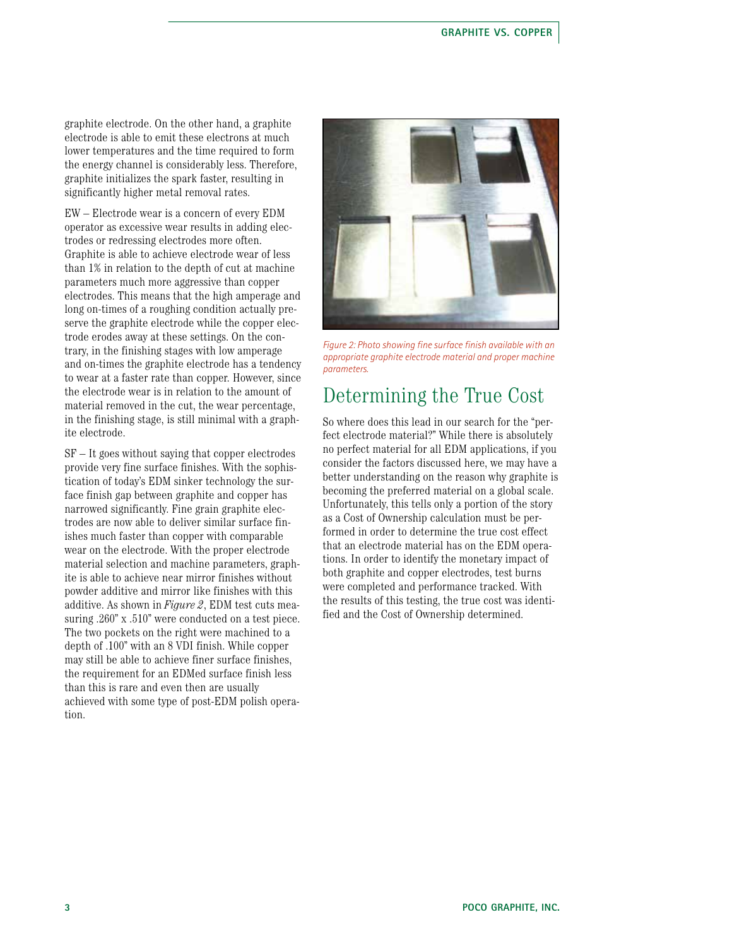graphite electrode. On the other hand, a graphite electrode is able to emit these electrons at much lower temperatures and the time required to form the energy channel is considerably less. Therefore, graphite initializes the spark faster, resulting in significantly higher metal removal rates.

EW – Electrode wear is a concern of every EDM operator as excessive wear results in adding electrodes or redressing electrodes more often. Graphite is able to achieve electrode wear of less than 1% in relation to the depth of cut at machine parameters much more aggressive than copper electrodes. This means that the high amperage and long on-times of a roughing condition actually preserve the graphite electrode while the copper electrode erodes away at these settings. On the contrary, in the finishing stages with low amperage and on-times the graphite electrode has a tendency to wear at a faster rate than copper. However, since the electrode wear is in relation to the amount of material removed in the cut, the wear percentage, in the finishing stage, is still minimal with a graphite electrode.

SF – It goes without saying that copper electrodes provide very fine surface finishes. With the sophistication of today's EDM sinker technology the surface finish gap between graphite and copper has narrowed significantly. Fine grain graphite electrodes are now able to deliver similar surface finishes much faster than copper with comparable wear on the electrode. With the proper electrode material selection and machine parameters, graphite is able to achieve near mirror finishes without powder additive and mirror like finishes with this additive. As shown in *Figure 2*, EDM test cuts measuring .260" x .510" were conducted on a test piece. The two pockets on the right were machined to a depth of .100" with an 8 VDI finish. While copper may still be able to achieve finer surface finishes, the requirement for an EDMed surface finish less than this is rare and even then are usually achieved with some type of post-EDM polish operation.



*Figure 2: Photo showing fine surface finish available with an appropriate graphite electrode material and proper machine parameters.* 

### Determining the True Cost

So where does this lead in our search for the "perfect electrode material?" While there is absolutely no perfect material for all EDM applications, if you consider the factors discussed here, we may have a better understanding on the reason why graphite is becoming the preferred material on a global scale. Unfortunately, this tells only a portion of the story as a Cost of Ownership calculation must be performed in order to determine the true cost effect that an electrode material has on the EDM operations. In order to identify the monetary impact of both graphite and copper electrodes, test burns were completed and performance tracked. With the results of this testing, the true cost was identified and the Cost of Ownership determined.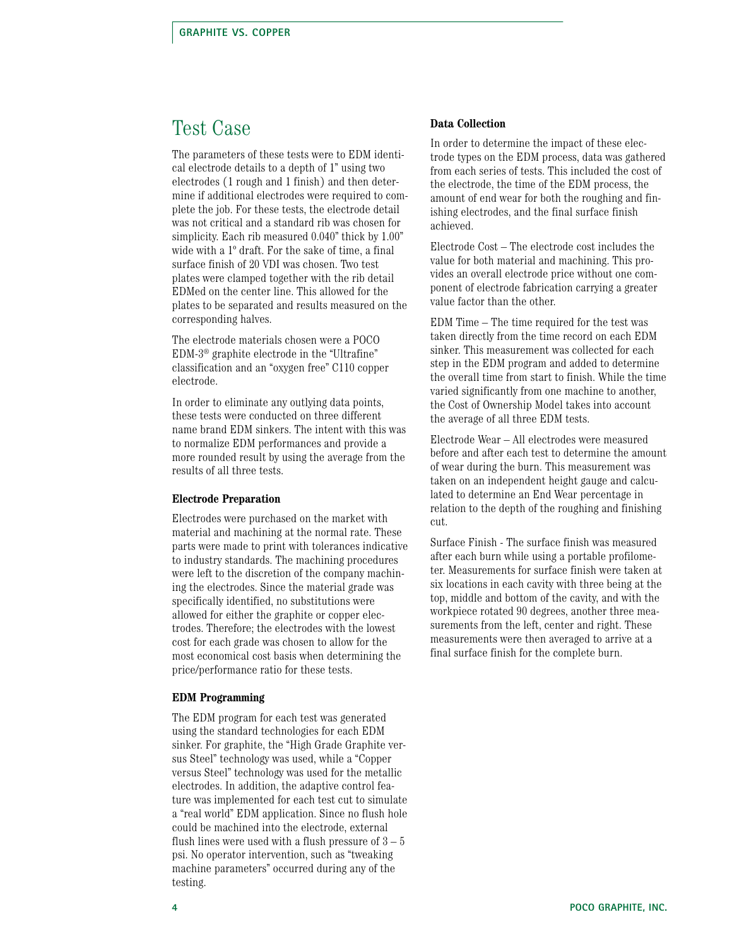### Test Case

The parameters of these tests were to EDM identical electrode details to a depth of 1" using two electrodes (1 rough and 1 finish) and then determine if additional electrodes were required to complete the job. For these tests, the electrode detail was not critical and a standard rib was chosen for simplicity. Each rib measured 0.040" thick by 1.00" wide with a 1º draft. For the sake of time, a final surface finish of 20 VDI was chosen. Two test plates were clamped together with the rib detail EDMed on the center line. This allowed for the plates to be separated and results measured on the corresponding halves.

The electrode materials chosen were a POCO EDM-3® graphite electrode in the "Ultrafine" classification and an "oxygen free" C110 copper electrode.

In order to eliminate any outlying data points, these tests were conducted on three different name brand EDM sinkers. The intent with this was to normalize EDM performances and provide a more rounded result by using the average from the results of all three tests.

#### **Electrode Preparation**

Electrodes were purchased on the market with material and machining at the normal rate. These parts were made to print with tolerances indicative to industry standards. The machining procedures were left to the discretion of the company machining the electrodes. Since the material grade was specifically identified, no substitutions were allowed for either the graphite or copper electrodes. Therefore; the electrodes with the lowest cost for each grade was chosen to allow for the most economical cost basis when determining the price/performance ratio for these tests.

#### **EDM Programming**

The EDM program for each test was generated using the standard technologies for each EDM sinker. For graphite, the "High Grade Graphite versus Steel" technology was used, while a "Copper versus Steel" technology was used for the metallic electrodes. In addition, the adaptive control feature was implemented for each test cut to simulate a "real world" EDM application. Since no flush hole could be machined into the electrode, external flush lines were used with a flush pressure of  $3-5$ psi. No operator intervention, such as "tweaking machine parameters" occurred during any of the testing.

#### **Data Collection**

In order to determine the impact of these electrode types on the EDM process, data was gathered from each series of tests. This included the cost of the electrode, the time of the EDM process, the amount of end wear for both the roughing and finishing electrodes, and the final surface finish achieved.

Electrode Cost – The electrode cost includes the value for both material and machining. This provides an overall electrode price without one component of electrode fabrication carrying a greater value factor than the other.

EDM Time – The time required for the test was taken directly from the time record on each EDM sinker. This measurement was collected for each step in the EDM program and added to determine the overall time from start to finish. While the time varied significantly from one machine to another, the Cost of Ownership Model takes into account the average of all three EDM tests.

Electrode Wear – All electrodes were measured before and after each test to determine the amount of wear during the burn. This measurement was taken on an independent height gauge and calculated to determine an End Wear percentage in relation to the depth of the roughing and finishing cut.

Surface Finish - The surface finish was measured after each burn while using a portable profilometer. Measurements for surface finish were taken at six locations in each cavity with three being at the top, middle and bottom of the cavity, and with the workpiece rotated 90 degrees, another three measurements from the left, center and right. These measurements were then averaged to arrive at a final surface finish for the complete burn.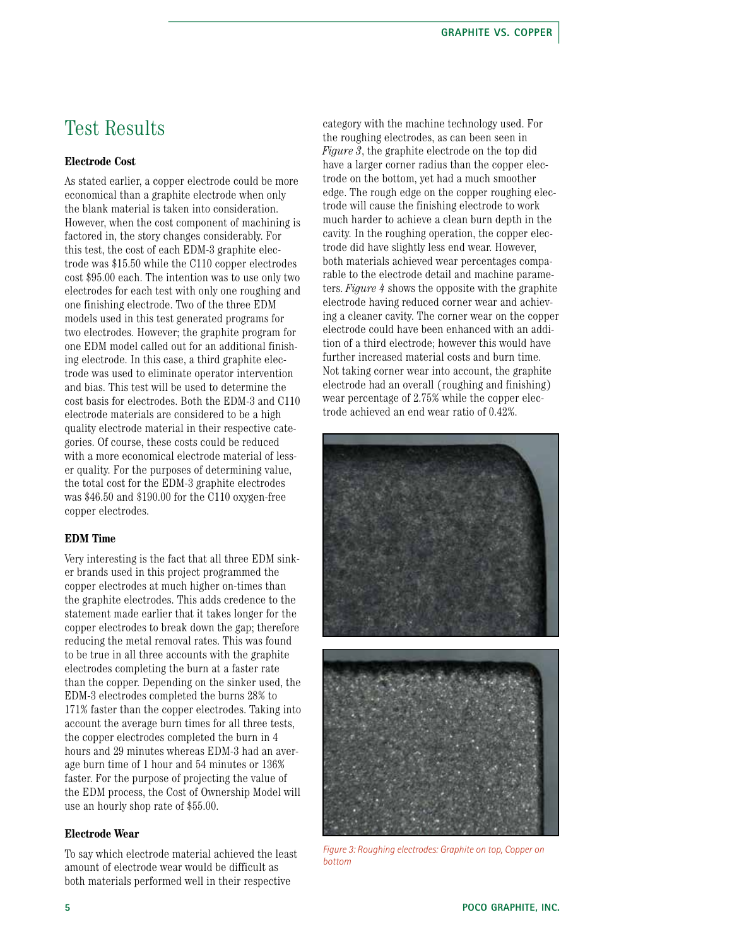### Test Results

#### **Electrode Cost**

As stated earlier, a copper electrode could be more economical than a graphite electrode when only the blank material is taken into consideration. However, when the cost component of machining is factored in, the story changes considerably. For this test, the cost of each EDM-3 graphite electrode was \$15.50 while the C110 copper electrodes cost \$95.00 each. The intention was to use only two electrodes for each test with only one roughing and one finishing electrode. Two of the three EDM models used in this test generated programs for two electrodes. However; the graphite program for one EDM model called out for an additional finishing electrode. In this case, a third graphite electrode was used to eliminate operator intervention and bias. This test will be used to determine the cost basis for electrodes. Both the EDM-3 and C110 electrode materials are considered to be a high quality electrode material in their respective categories. Of course, these costs could be reduced with a more economical electrode material of lesser quality. For the purposes of determining value, the total cost for the EDM-3 graphite electrodes was \$46.50 and \$190.00 for the C110 oxygen-free copper electrodes.

#### **EDM Time**

Very interesting is the fact that all three EDM sinker brands used in this project programmed the copper electrodes at much higher on-times than the graphite electrodes. This adds credence to the statement made earlier that it takes longer for the copper electrodes to break down the gap; therefore reducing the metal removal rates. This was found to be true in all three accounts with the graphite electrodes completing the burn at a faster rate than the copper. Depending on the sinker used, the EDM-3 electrodes completed the burns 28% to 171% faster than the copper electrodes. Taking into account the average burn times for all three tests, the copper electrodes completed the burn in 4 hours and 29 minutes whereas EDM-3 had an average burn time of 1 hour and 54 minutes or 136% faster. For the purpose of projecting the value of the EDM process, the Cost of Ownership Model will use an hourly shop rate of \$55.00.

#### **Electrode Wear**

To say which electrode material achieved the least amount of electrode wear would be difficult as both materials performed well in their respective

category with the machine technology used. For the roughing electrodes, as can been seen in *Figure 3*, the graphite electrode on the top did have a larger corner radius than the copper electrode on the bottom, yet had a much smoother edge. The rough edge on the copper roughing electrode will cause the finishing electrode to work much harder to achieve a clean burn depth in the cavity. In the roughing operation, the copper electrode did have slightly less end wear. However, both materials achieved wear percentages comparable to the electrode detail and machine parameters. *Figure 4* shows the opposite with the graphite electrode having reduced corner wear and achieving a cleaner cavity. The corner wear on the copper electrode could have been enhanced with an addition of a third electrode; however this would have further increased material costs and burn time. Not taking corner wear into account, the graphite electrode had an overall (roughing and finishing) wear percentage of 2.75% while the copper electrode achieved an end wear ratio of 0.42%.





*Figure 3: Roughing electrodes: Graphite on top, Copper on bottom*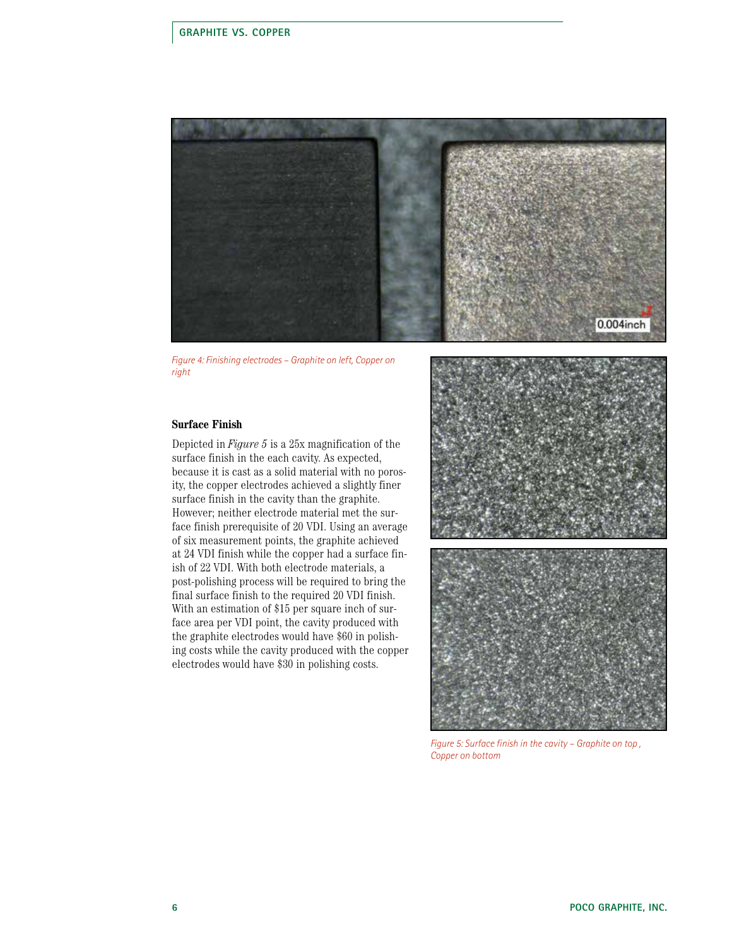

*Figure 4: Finishing electrodes – Graphite on left, Copper on right* 

#### **Surface Finish**

Depicted in *Figure 5* is a 25x magnification of the surface finish in the each cavity. As expected, because it is cast as a solid material with no porosity, the copper electrodes achieved a slightly finer surface finish in the cavity than the graphite. However; neither electrode material met the surface finish prerequisite of 20 VDI. Using an average of six measurement points, the graphite achieved at 24 VDI finish while the copper had a surface finish of 22 VDI. With both electrode materials, a post-polishing process will be required to bring the final surface finish to the required 20 VDI finish. With an estimation of \$15 per square inch of surface area per VDI point, the cavity produced with the graphite electrodes would have \$60 in polishing costs while the cavity produced with the copper electrodes would have \$30 in polishing costs.



*Figure 5: Surface finish in the cavity – Graphite on top , Copper on bottom*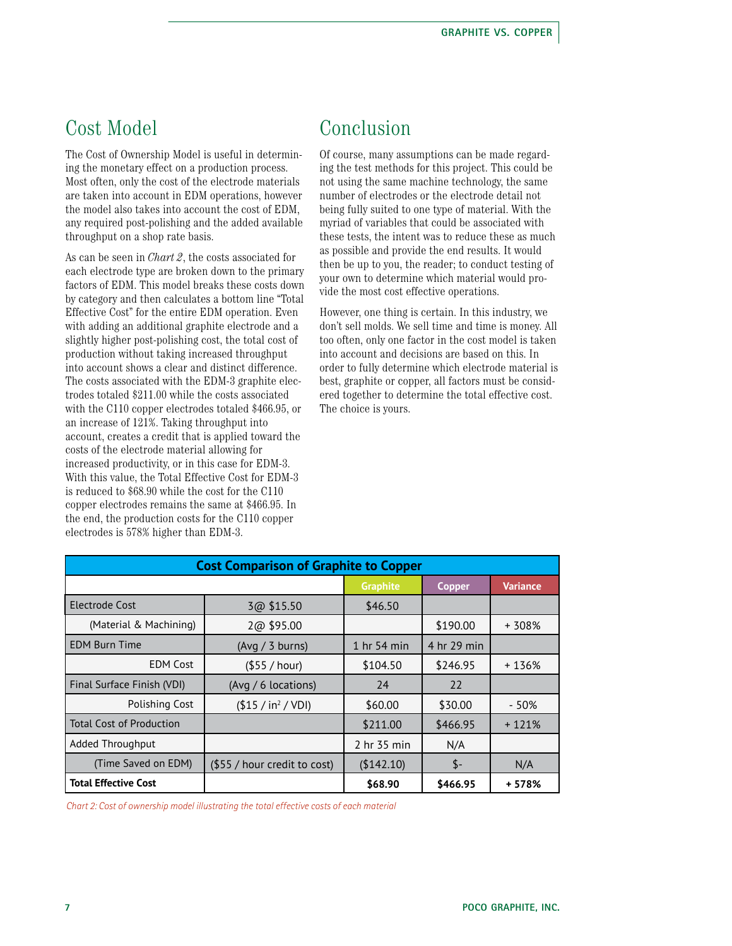## Cost Model

The Cost of Ownership Model is useful in determining the monetary effect on a production process. Most often, only the cost of the electrode materials are taken into account in EDM operations, however the model also takes into account the cost of EDM, any required post-polishing and the added available throughput on a shop rate basis.

As can be seen in *Chart 2*, the costs associated for each electrode type are broken down to the primary factors of EDM. This model breaks these costs down by category and then calculates a bottom line "Total Effective Cost" for the entire EDM operation. Even with adding an additional graphite electrode and a slightly higher post-polishing cost, the total cost of production without taking increased throughput into account shows a clear and distinct difference. The costs associated with the EDM-3 graphite electrodes totaled \$211.00 while the costs associated with the C110 copper electrodes totaled \$466.95, or an increase of 121%. Taking throughput into account, creates a credit that is applied toward the costs of the electrode material allowing for increased productivity, or in this case for EDM-3. With this value, the Total Effective Cost for EDM-3 is reduced to \$68.90 while the cost for the C110 copper electrodes remains the same at \$466.95. In the end, the production costs for the C110 copper electrodes is 578% higher than EDM-3.

## Conclusion

Of course, many assumptions can be made regarding the test methods for this project. This could be not using the same machine technology, the same number of electrodes or the electrode detail not being fully suited to one type of material. With the myriad of variables that could be associated with these tests, the intent was to reduce these as much as possible and provide the end results. It would then be up to you, the reader; to conduct testing of your own to determine which material would provide the most cost effective operations.

However, one thing is certain. In this industry, we don't sell molds. We sell time and time is money. All too often, only one factor in the cost model is taken into account and decisions are based on this. In order to fully determine which electrode material is best, graphite or copper, all factors must be considered together to determine the total effective cost. The choice is yours.

| <b>Cost Comparison of Graphite to Copper</b> |                                |                 |               |                 |
|----------------------------------------------|--------------------------------|-----------------|---------------|-----------------|
|                                              |                                | <b>Graphite</b> | <b>Copper</b> | <b>Variance</b> |
| Electrode Cost                               | 3@\$15.50                      | \$46.50         |               |                 |
| (Material & Machining)                       | 2@ \$95.00                     |                 | \$190.00      | + 308%          |
| <b>EDM Burn Time</b>                         | $(Avq / 3$ burns)              | 1 hr 54 min     | 4 hr 29 min   |                 |
| <b>EDM</b> Cost                              | (\$55 / hour)                  | \$104.50        | \$246.95      | + 136%          |
| Final Surface Finish (VDI)                   | (Avg / 6 locations)            | 24              | 22            |                 |
| Polishing Cost                               | (\$15 / in <sup>2</sup> / VDI) | \$60.00         | \$30.00       | - 50%           |
| <b>Total Cost of Production</b>              |                                | \$211.00        | \$466.95      | $+121%$         |
| Added Throughput                             |                                | 2 hr 35 min     | N/A           |                 |
| (Time Saved on EDM)                          | (\$55 / hour credit to cost)   | (\$142.10)      | $S-$          | N/A             |
| <b>Total Effective Cost</b>                  |                                | \$68.90         | \$466.95      | + 578%          |

*Chart 2: Cost of ownership model illustrating the total effective costs of each material*